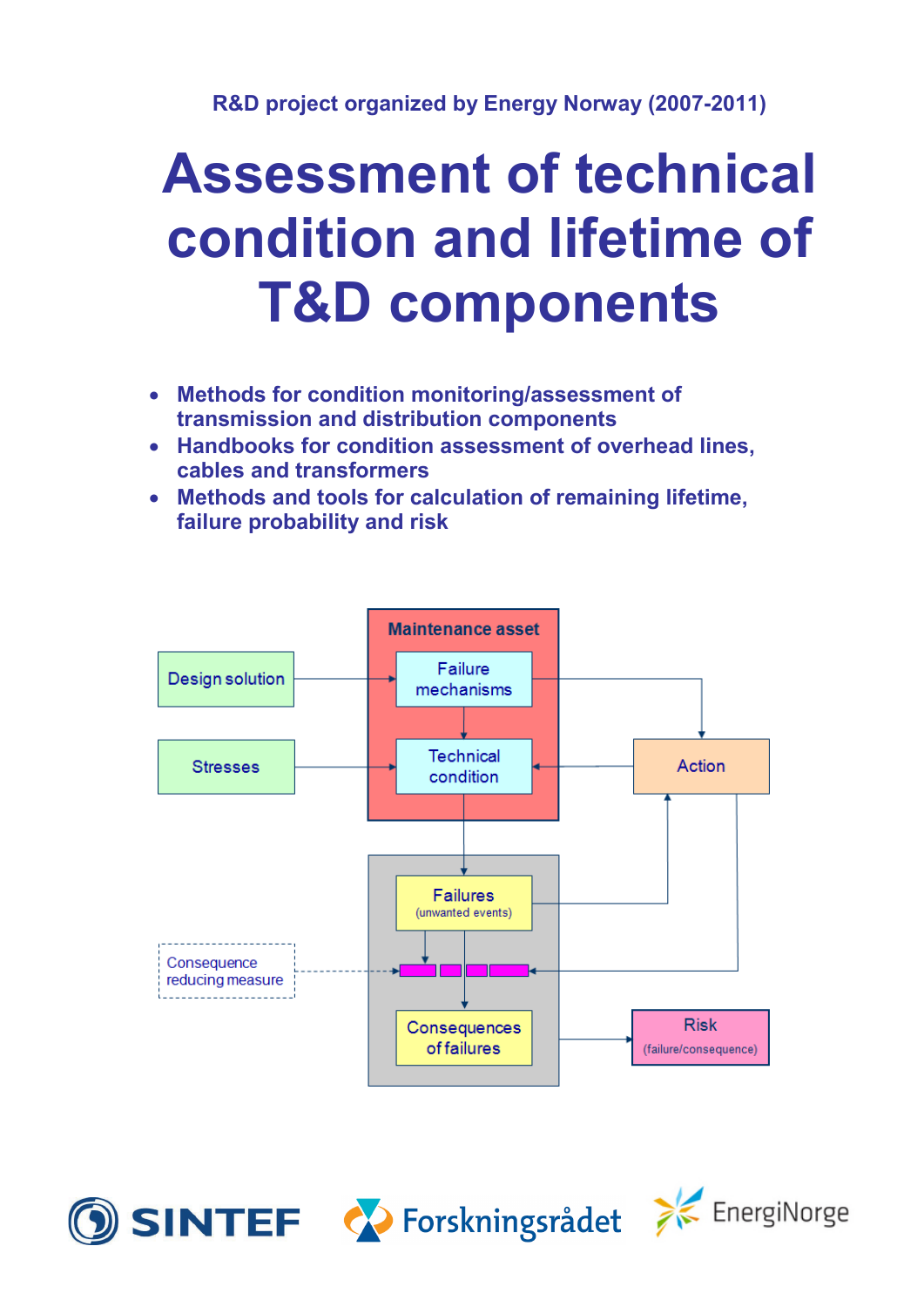# **Assessment of technical condition and lifetime of T&D components**

- **Methods for condition monitoring/assessment of transmission and distribution components**
- **Handbooks for condition assessment of overhead lines, cables and transformers**
- **Methods and tools for calculation of remaining lifetime, failure probability and risk**







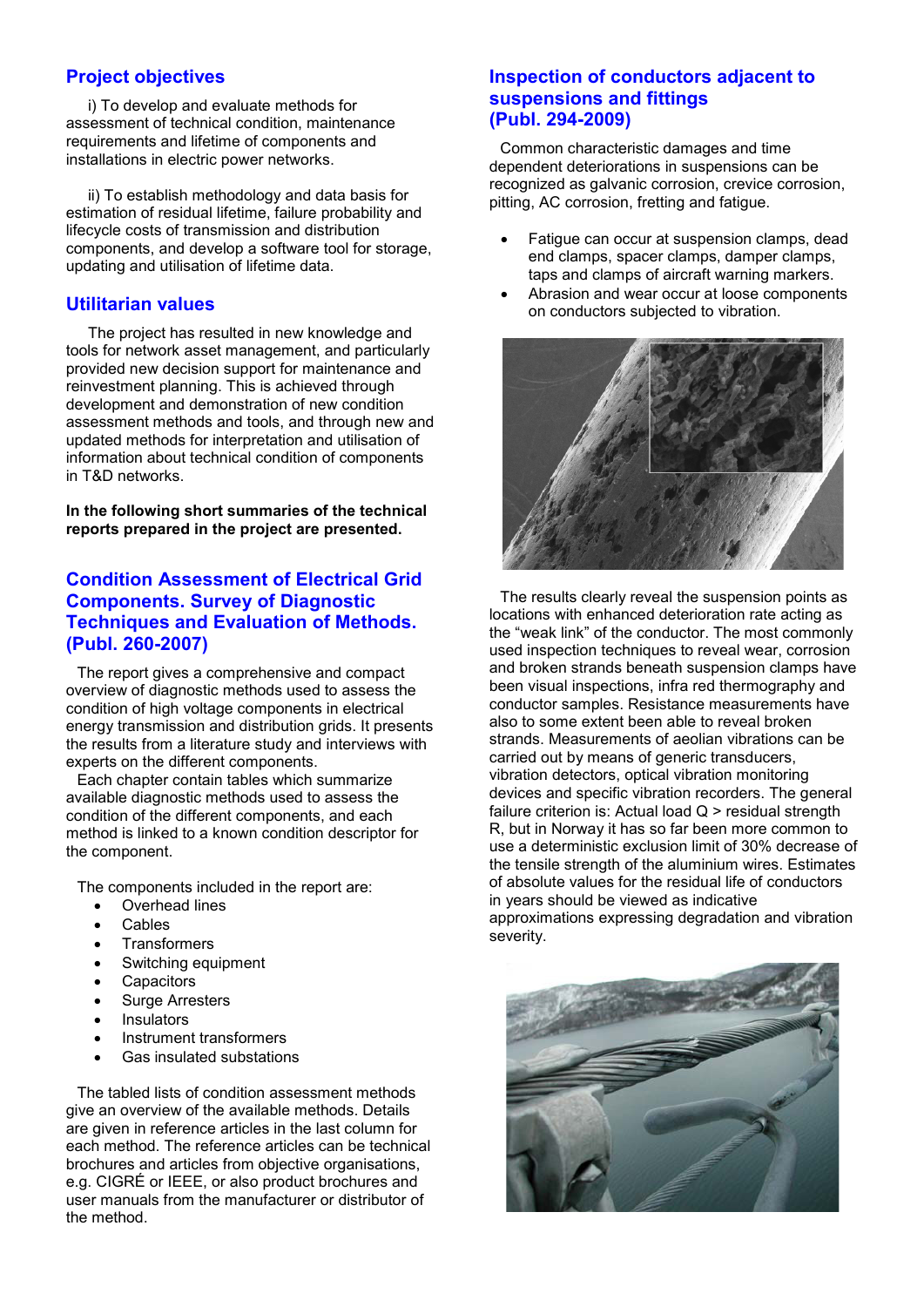## **Project objectives**

i) To develop and evaluate methods for assessment of technical condition, maintenance requirements and lifetime of components and installations in electric power networks.

ii) To establish methodology and data basis for estimation of residual lifetime, failure probability and lifecycle costs of transmission and distribution components, and develop a software tool for storage, updating and utilisation of lifetime data.

#### **Utilitarian values**

The project has resulted in new knowledge and tools for network asset management, and particularly provided new decision support for maintenance and reinvestment planning. This is achieved through development and demonstration of new condition assessment methods and tools, and through new and updated methods for interpretation and utilisation of information about technical condition of components in T&D networks.

**In the following short summaries of the technical reports prepared in the project are presented.**

# **Condition Assessment of Electrical Grid Components. Survey of Diagnostic Techniques and Evaluation of Methods. (Publ. 260-2007)**

The report gives a comprehensive and compact overview of diagnostic methods used to assess the condition of high voltage components in electrical energy transmission and distribution grids. It presents the results from a literature study and interviews with experts on the different components.

Each chapter contain tables which summarize available diagnostic methods used to assess the condition of the different components, and each method is linked to a known condition descriptor for the component.

The components included in the report are:

- Overhead lines
- Cables
- **Transformers**
- Switching equipment
- **Capacitors**
- Surge Arresters
- **Insulators**
- Instrument transformers
- Gas insulated substations

The tabled lists of condition assessment methods give an overview of the available methods. Details are given in reference articles in the last column for each method. The reference articles can be technical brochures and articles from objective organisations, e.g. CIGRÉ or IEEE, or also product brochures and user manuals from the manufacturer or distributor of the method.

## **Inspection of conductors adjacent to suspensions and fittings (Publ. 294-2009)**

Common characteristic damages and time dependent deteriorations in suspensions can be recognized as galvanic corrosion, crevice corrosion, pitting, AC corrosion, fretting and fatigue.

- Fatigue can occur at suspension clamps, dead end clamps, spacer clamps, damper clamps, taps and clamps of aircraft warning markers.
- Abrasion and wear occur at loose components on conductors subjected to vibration.



The results clearly reveal the suspension points as locations with enhanced deterioration rate acting as the "weak link" of the conductor. The most commonly used inspection techniques to reveal wear, corrosion and broken strands beneath suspension clamps have been visual inspections, infra red thermography and conductor samples. Resistance measurements have also to some extent been able to reveal broken strands. Measurements of aeolian vibrations can be carried out by means of generic transducers, vibration detectors, optical vibration monitoring devices and specific vibration recorders. The general failure criterion is: Actual load Q > residual strength R, but in Norway it has so far been more common to use a deterministic exclusion limit of 30% decrease of the tensile strength of the aluminium wires. Estimates of absolute values for the residual life of conductors in years should be viewed as indicative approximations expressing degradation and vibration severity.

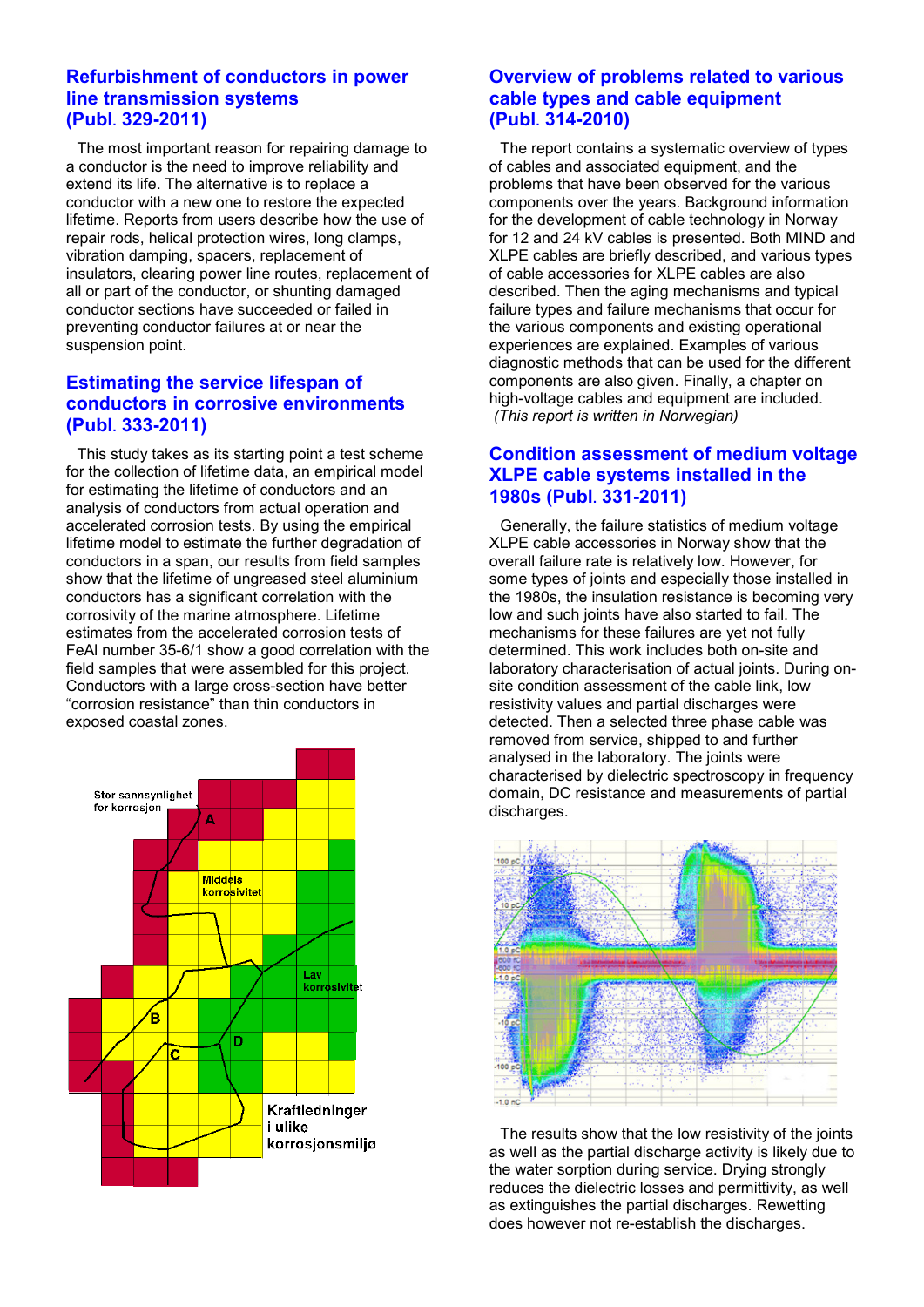#### **Refurbishment of conductors in power line transmission systems (Publ. 329-2011)**

The most important reason for repairing damage to a conductor is the need to improve reliability and extend its life. The alternative is to replace a conductor with a new one to restore the expected lifetime. Reports from users describe how the use of repair rods, helical protection wires, long clamps, vibration damping, spacers, replacement of insulators, clearing power line routes, replacement of all or part of the conductor, or shunting damaged conductor sections have succeeded or failed in preventing conductor failures at or near the suspension point.

# **Estimating the service lifespan of conductors in corrosive environments (Publ. 333-2011)**

This study takes as its starting point a test scheme for the collection of lifetime data, an empirical model for estimating the lifetime of conductors and an analysis of conductors from actual operation and accelerated corrosion tests. By using the empirical lifetime model to estimate the further degradation of conductors in a span, our results from field samples show that the lifetime of ungreased steel aluminium conductors has a significant correlation with the corrosivity of the marine atmosphere. Lifetime estimates from the accelerated corrosion tests of FeAl number 35-6/1 show a good correlation with the field samples that were assembled for this project. Conductors with a large cross-section have better "corrosion resistance" than thin conductors in exposed coastal zones.



# **Overview of problems related to various cable types and cable equipment (Publ. 314-2010)**

The report contains a systematic overview of types of cables and associated equipment, and the problems that have been observed for the various components over the years. Background information for the development of cable technology in Norway for 12 and 24 kV cables is presented. Both MIND and XLPE cables are briefly described, and various types of cable accessories for XLPE cables are also described. Then the aging mechanisms and typical failure types and failure mechanisms that occur for the various components and existing operational experiences are explained. Examples of various diagnostic methods that can be used for the different components are also given. Finally, a chapter on high-voltage cables and equipment are included. *(This report is written in Norwegian)*

# **Condition assessment of medium voltage XLPE cable systems installed in the 1980s (Publ. 331-2011)**

Generally, the failure statistics of medium voltage XLPE cable accessories in Norway show that the overall failure rate is relatively low. However, for some types of joints and especially those installed in the 1980s, the insulation resistance is becoming very low and such joints have also started to fail. The mechanisms for these failures are yet not fully determined. This work includes both on-site and laboratory characterisation of actual joints. During onsite condition assessment of the cable link, low resistivity values and partial discharges were detected. Then a selected three phase cable was removed from service, shipped to and further analysed in the laboratory. The joints were characterised by dielectric spectroscopy in frequency domain, DC resistance and measurements of partial discharges.



The results show that the low resistivity of the joints as well as the partial discharge activity is likely due to the water sorption during service. Drying strongly reduces the dielectric losses and permittivity, as well as extinguishes the partial discharges. Rewetting does however not re-establish the discharges.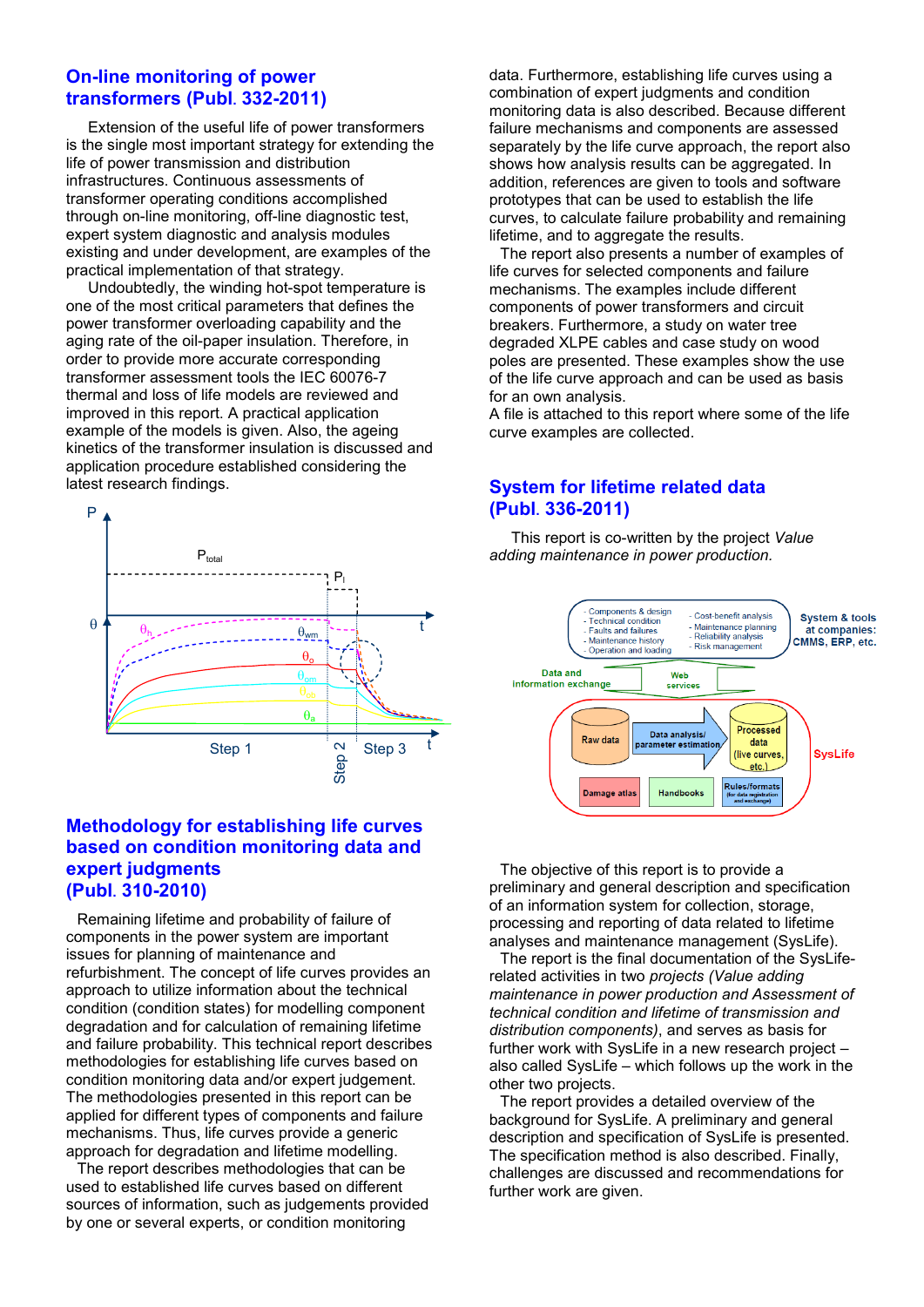#### **On-line monitoring of power transformers (Publ. 332-2011)**

Extension of the useful life of power transformers is the single most important strategy for extending the life of power transmission and distribution infrastructures. Continuous assessments of transformer operating conditions accomplished through on-line monitoring, off-line diagnostic test, expert system diagnostic and analysis modules existing and under development, are examples of the practical implementation of that strategy.

Undoubtedly, the winding hot-spot temperature is one of the most critical parameters that defines the power transformer overloading capability and the aging rate of the oil-paper insulation. Therefore, in order to provide more accurate corresponding transformer assessment tools the IEC 60076-7 thermal and loss of life models are reviewed and improved in this report. A practical application example of the models is given. Also, the ageing kinetics of the transformer insulation is discussed and application procedure established considering the latest research findings.



## **Methodology for establishing life curves based on condition monitoring data and expert judgments (Publ. 310-2010)**

Remaining lifetime and probability of failure of components in the power system are important issues for planning of maintenance and refurbishment. The concept of life curves provides an approach to utilize information about the technical condition (condition states) for modelling component degradation and for calculation of remaining lifetime and failure probability. This technical report describes methodologies for establishing life curves based on condition monitoring data and/or expert judgement. The methodologies presented in this report can be applied for different types of components and failure mechanisms. Thus, life curves provide a generic approach for degradation and lifetime modelling.

The report describes methodologies that can be used to established life curves based on different sources of information, such as judgements provided by one or several experts, or condition monitoring

data. Furthermore, establishing life curves using a combination of expert judgments and condition monitoring data is also described. Because different failure mechanisms and components are assessed separately by the life curve approach, the report also shows how analysis results can be aggregated. In addition, references are given to tools and software prototypes that can be used to establish the life curves, to calculate failure probability and remaining lifetime, and to aggregate the results.

The report also presents a number of examples of life curves for selected components and failure mechanisms. The examples include different components of power transformers and circuit breakers. Furthermore, a study on water tree degraded XLPE cables and case study on wood poles are presented. These examples show the use of the life curve approach and can be used as basis for an own analysis.

A file is attached to this report where some of the life curve examples are collected.

# **System for lifetime related data (Publ. 336-2011)**

This report is co-written by the project *Value adding maintenance in power production.*



The objective of this report is to provide a preliminary and general description and specification of an information system for collection, storage, processing and reporting of data related to lifetime analyses and maintenance management (SysLife).

The report is the final documentation of the SysLiferelated activities in two *projects (Value adding maintenance in power production and Assessment of technical condition and lifetime of transmission and distribution components)*, and serves as basis for further work with SysLife in a new research project – also called SysLife – which follows up the work in the other two projects.

The report provides a detailed overview of the background for SysLife. A preliminary and general description and specification of SysLife is presented. The specification method is also described. Finally, challenges are discussed and recommendations for further work are given.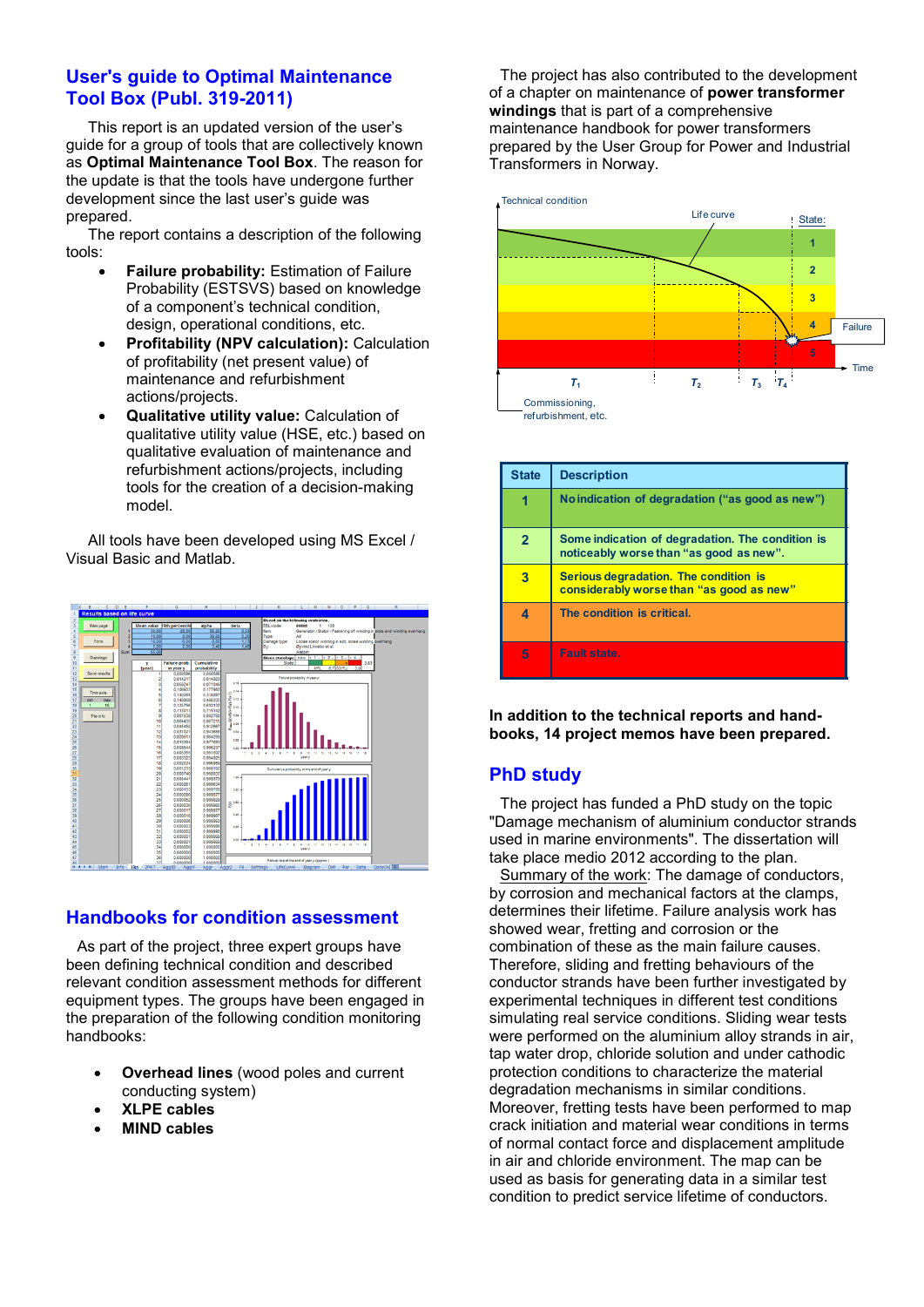# **User's guide to Optimal Maintenance Tool Box (Publ. 319-2011)**

This report is an updated version of the user's guide for a group of tools that are collectively known as **Optimal Maintenance Tool Box**. The reason for the update is that the tools have undergone further development since the last user's guide was prepared.

The report contains a description of the following tools:

- **Failure probability:** Estimation of Failure Probability (ESTSVS) based on knowledge of a component's technical condition, design, operational conditions, etc.
- **Profitability (NPV calculation):** Calculation of profitability (net present value) of maintenance and refurbishment actions/projects.
- **Qualitative utility value:** Calculation of qualitative utility value (HSE, etc.) based on qualitative evaluation of maintenance and refurbishment actions/projects, including tools for the creation of a decision-making model.

All tools have been developed using MS Excel / Visual Basic and Matlab.



# **Handbooks for condition assessment**

As part of the project, three expert groups have been defining technical condition and described relevant condition assessment methods for different equipment types. The groups have been engaged in the preparation of the following condition monitoring handbooks:

- **Overhead lines** (wood poles and current conducting system)
- **XLPE cables**
- **MIND cables**

The project has also contributed to the development of a chapter on maintenance of **power transformer windings** that is part of a comprehensive maintenance handbook for power transformers prepared by the User Group for Power and Industrial Transformers in Norway.



| <b>State</b> | <b>Description</b>                                                                          |
|--------------|---------------------------------------------------------------------------------------------|
|              | No indication of degradation ("as good as new")                                             |
| $\mathbf{2}$ | Some indication of degradation. The condition is<br>noticeably worse than "as good as new". |
| 3            | Serious degradation. The condition is<br>considerably worse than "as good as new"           |
|              | The condition is critical.                                                                  |
| 5            | Fault state.                                                                                |

**In addition to the technical reports and handbooks, 14 project memos have been prepared.**

# **PhD study**

The project has funded a PhD study on the topic "Damage mechanism of aluminium conductor strands used in marine environments". The dissertation will take place medio 2012 according to the plan.

Summary of the work: The damage of conductors, by corrosion and mechanical factors at the clamps, determines their lifetime. Failure analysis work has showed wear, fretting and corrosion or the combination of these as the main failure causes. Therefore, sliding and fretting behaviours of the conductor strands have been further investigated by experimental techniques in different test conditions simulating real service conditions. Sliding wear tests were performed on the aluminium alloy strands in air, tap water drop, chloride solution and under cathodic protection conditions to characterize the material degradation mechanisms in similar conditions. Moreover, fretting tests have been performed to map crack initiation and material wear conditions in terms of normal contact force and displacement amplitude in air and chloride environment. The map can be used as basis for generating data in a similar test condition to predict service lifetime of conductors.